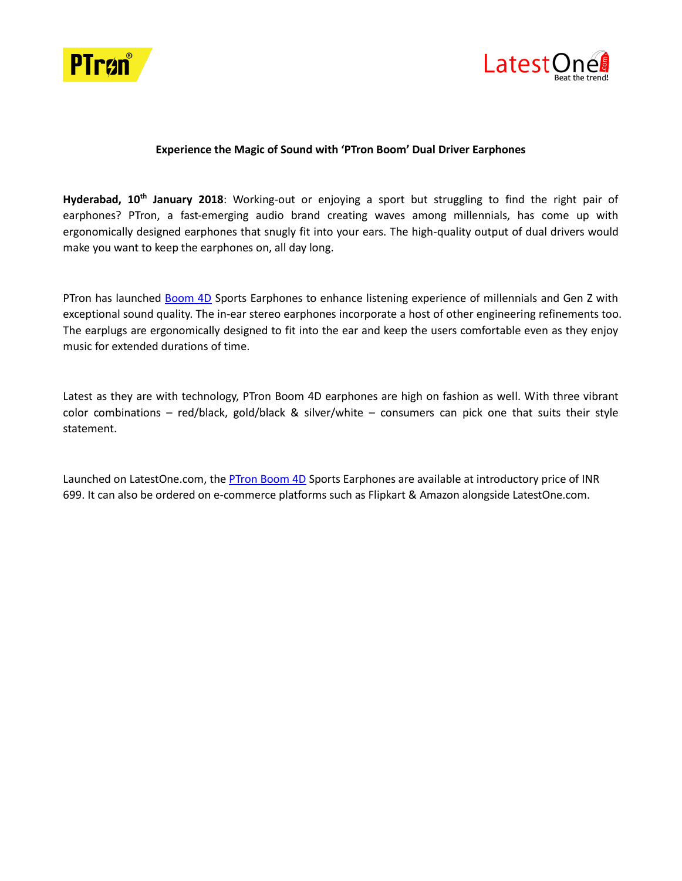



## **Experience the Magic of Sound with 'PTron Boom' Dual Driver Earphones**

**Hyderabad, 10th January 2018**: Working-out or enjoying a sport but struggling to find the right pair of earphones? PTron, a fast-emerging audio brand creating waves among millennials, has come up with ergonomically designed earphones that snugly fit into your ears. The high-quality output of dual drivers would make you want to keep the earphones on, all day long.

PTron has launched [Boom 4D](http://www.latestone.com/ptron-4d-boom-sport-headphones) Sports Earphones to enhance listening experience of millennials and Gen Z with exceptional sound quality. The in-ear stereo earphones incorporate a host of other engineering refinements too. The earplugs are ergonomically designed to fit into the ear and keep the users comfortable even as they enjoy music for extended durations of time.

Latest as they are with technology, PTron Boom 4D earphones are high on fashion as well. With three vibrant color combinations – red/black, gold/black & silver/white – consumers can pick one that suits their style statement.

Launched on LatestOne.com, th[e PTron Boom 4D](http://www.latestone.com/ptron-4d-boom-sport-headphones) Sports Earphones are available at introductory price of INR 699. It can also be ordered on e-commerce platforms such as Flipkart & Amazon alongside LatestOne.com.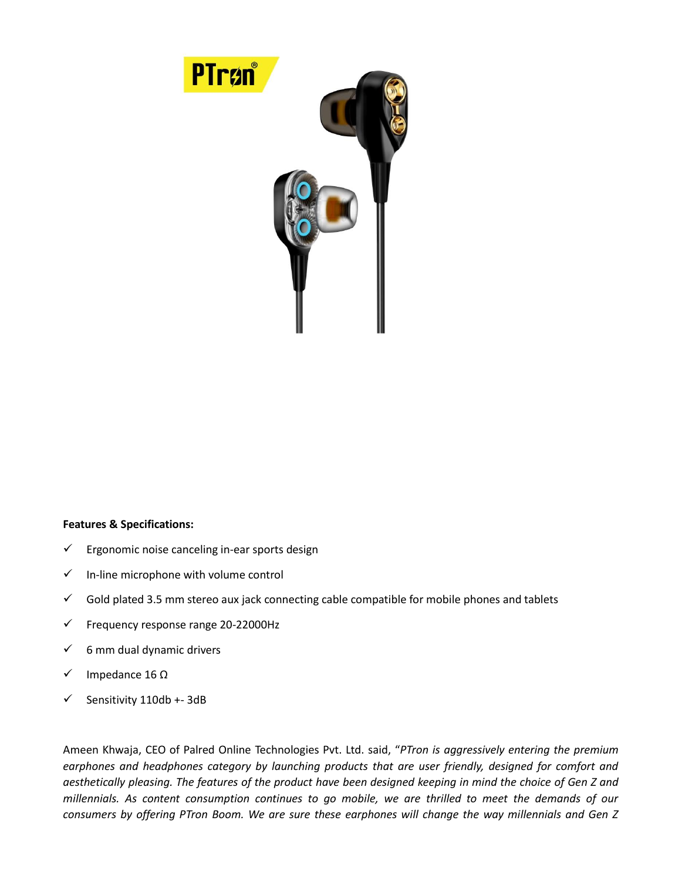

## **Features & Specifications:**

- $\checkmark$  Ergonomic noise canceling in-ear sports design
- $\checkmark$  In-line microphone with volume control
- $\checkmark$  Gold plated 3.5 mm stereo aux jack connecting cable compatible for mobile phones and tablets
- $\checkmark$  Frequency response range 20-22000Hz
- $6$  mm dual dynamic drivers
- $\checkmark$  Impedance 16 Ω
- $\checkmark$  Sensitivity 110db +-3dB

Ameen Khwaja, CEO of Palred Online Technologies Pvt. Ltd. said, "*PTron is aggressively entering the premium earphones and headphones category by launching products that are user friendly, designed for comfort and aesthetically pleasing. The features of the product have been designed keeping in mind the choice of Gen Z and millennials. As content consumption continues to go mobile, we are thrilled to meet the demands of our consumers by offering PTron Boom. We are sure these earphones will change the way millennials and Gen Z*